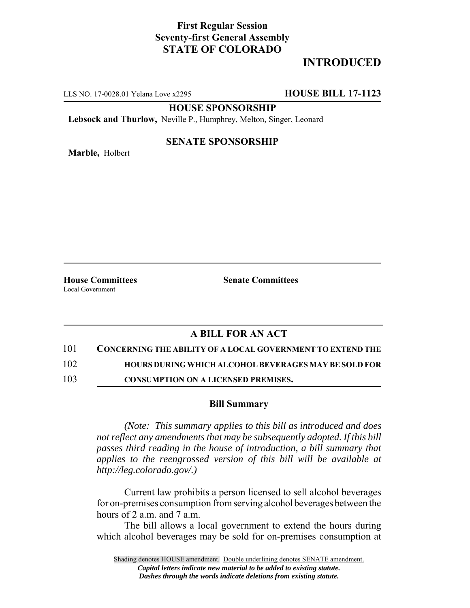## **First Regular Session Seventy-first General Assembly STATE OF COLORADO**

# **INTRODUCED**

LLS NO. 17-0028.01 Yelana Love x2295 **HOUSE BILL 17-1123**

**HOUSE SPONSORSHIP**

**Lebsock and Thurlow,** Neville P., Humphrey, Melton, Singer, Leonard

**Marble,** Holbert

### **SENATE SPONSORSHIP**

**House Committees Senate Committees** Local Government

### **A BILL FOR AN ACT**

101 **CONCERNING THE ABILITY OF A LOCAL GOVERNMENT TO EXTEND THE**

102 **HOURS DURING WHICH ALCOHOL BEVERAGES MAY BE SOLD FOR**

103 **CONSUMPTION ON A LICENSED PREMISES.**

#### **Bill Summary**

*(Note: This summary applies to this bill as introduced and does not reflect any amendments that may be subsequently adopted. If this bill passes third reading in the house of introduction, a bill summary that applies to the reengrossed version of this bill will be available at http://leg.colorado.gov/.)*

Current law prohibits a person licensed to sell alcohol beverages for on-premises consumption from serving alcohol beverages between the hours of 2 a.m. and 7 a.m.

The bill allows a local government to extend the hours during which alcohol beverages may be sold for on-premises consumption at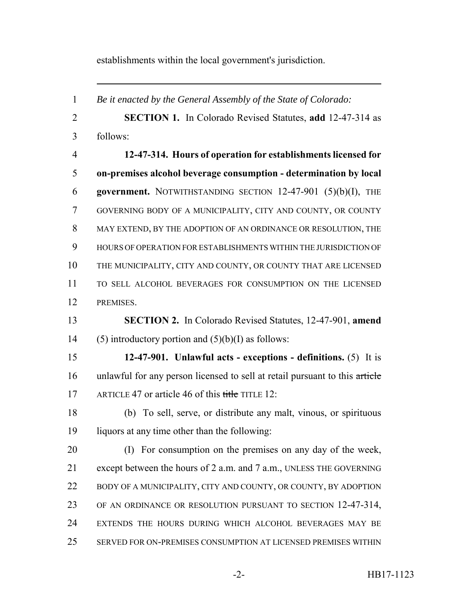establishments within the local government's jurisdiction.

 *Be it enacted by the General Assembly of the State of Colorado:* **SECTION 1.** In Colorado Revised Statutes, **add** 12-47-314 as follows: **12-47-314. Hours of operation for establishments licensed for on-premises alcohol beverage consumption - determination by local government.** NOTWITHSTANDING SECTION 12-47-901 (5)(b)(I), THE GOVERNING BODY OF A MUNICIPALITY, CITY AND COUNTY, OR COUNTY MAY EXTEND, BY THE ADOPTION OF AN ORDINANCE OR RESOLUTION, THE HOURS OF OPERATION FOR ESTABLISHMENTS WITHIN THE JURISDICTION OF THE MUNICIPALITY, CITY AND COUNTY, OR COUNTY THAT ARE LICENSED TO SELL ALCOHOL BEVERAGES FOR CONSUMPTION ON THE LICENSED PREMISES. **SECTION 2.** In Colorado Revised Statutes, 12-47-901, **amend** 14 (5) introductory portion and  $(5)(b)(I)$  as follows: **12-47-901. Unlawful acts - exceptions - definitions.** (5) It is unlawful for any person licensed to sell at retail pursuant to this article 17 ARTICLE 47 or article 46 of this title TITLE 12: (b) To sell, serve, or distribute any malt, vinous, or spirituous liquors at any time other than the following: (I) For consumption on the premises on any day of the week, except between the hours of 2 a.m. and 7 a.m., UNLESS THE GOVERNING 22 BODY OF A MUNICIPALITY, CITY AND COUNTY, OR COUNTY, BY ADOPTION OF AN ORDINANCE OR RESOLUTION PURSUANT TO SECTION 12-47-314, EXTENDS THE HOURS DURING WHICH ALCOHOL BEVERAGES MAY BE SERVED FOR ON-PREMISES CONSUMPTION AT LICENSED PREMISES WITHIN